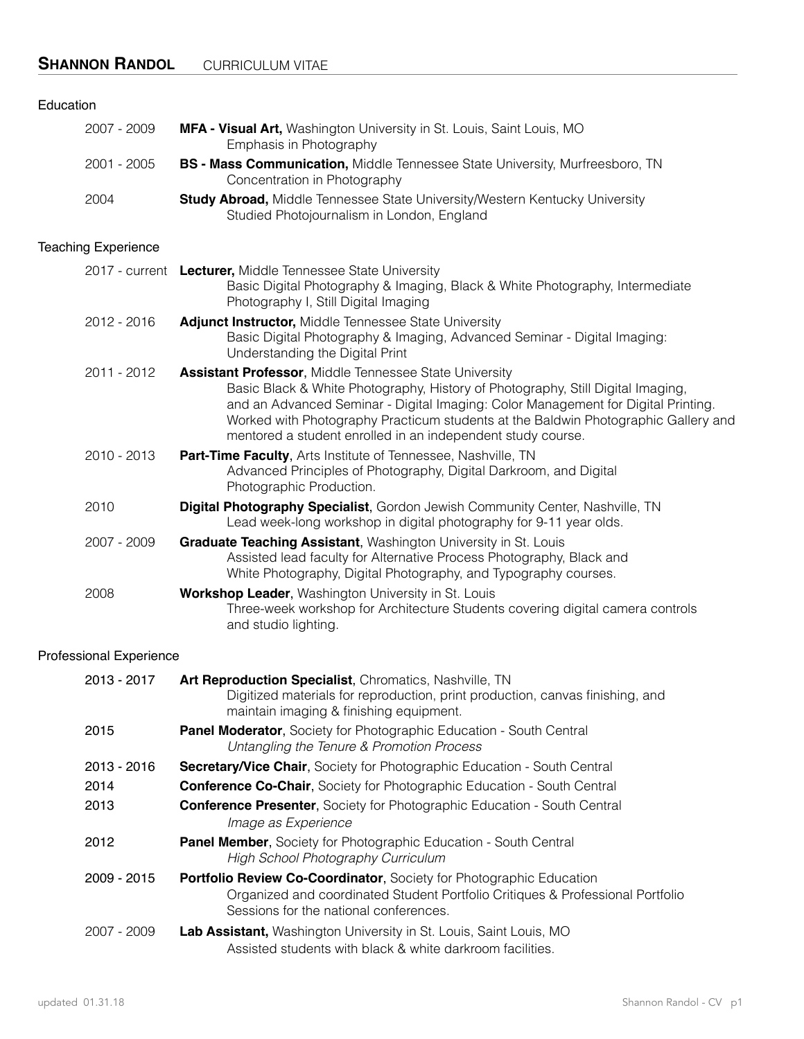## **SHANNON RANDOL** CURRICULUM VITAE

| Education                      |                                                                                                                                                                                                                                                                                                                                                                                            |
|--------------------------------|--------------------------------------------------------------------------------------------------------------------------------------------------------------------------------------------------------------------------------------------------------------------------------------------------------------------------------------------------------------------------------------------|
| 2007 - 2009                    | MFA - Visual Art, Washington University in St. Louis, Saint Louis, MO<br>Emphasis in Photography                                                                                                                                                                                                                                                                                           |
| 2001 - 2005                    | BS - Mass Communication, Middle Tennessee State University, Murfreesboro, TN<br>Concentration in Photography                                                                                                                                                                                                                                                                               |
| 2004                           | <b>Study Abroad, Middle Tennessee State University/Western Kentucky University</b><br>Studied Photojournalism in London, England                                                                                                                                                                                                                                                           |
| <b>Teaching Experience</b>     |                                                                                                                                                                                                                                                                                                                                                                                            |
|                                | 2017 - current Lecturer, Middle Tennessee State University<br>Basic Digital Photography & Imaging, Black & White Photography, Intermediate<br>Photography I, Still Digital Imaging                                                                                                                                                                                                         |
| 2012 - 2016                    | Adjunct Instructor, Middle Tennessee State University<br>Basic Digital Photography & Imaging, Advanced Seminar - Digital Imaging:<br>Understanding the Digital Print                                                                                                                                                                                                                       |
| 2011 - 2012                    | <b>Assistant Professor, Middle Tennessee State University</b><br>Basic Black & White Photography, History of Photography, Still Digital Imaging,<br>and an Advanced Seminar - Digital Imaging: Color Management for Digital Printing.<br>Worked with Photography Practicum students at the Baldwin Photographic Gallery and<br>mentored a student enrolled in an independent study course. |
| 2010 - 2013                    | Part-Time Faculty, Arts Institute of Tennessee, Nashville, TN<br>Advanced Principles of Photography, Digital Darkroom, and Digital<br>Photographic Production.                                                                                                                                                                                                                             |
| 2010                           | Digital Photography Specialist, Gordon Jewish Community Center, Nashville, TN<br>Lead week-long workshop in digital photography for 9-11 year olds.                                                                                                                                                                                                                                        |
| 2007 - 2009                    | Graduate Teaching Assistant, Washington University in St. Louis<br>Assisted lead faculty for Alternative Process Photography, Black and<br>White Photography, Digital Photography, and Typography courses.                                                                                                                                                                                 |
| 2008                           | Workshop Leader, Washington University in St. Louis<br>Three-week workshop for Architecture Students covering digital camera controls<br>and studio lighting.                                                                                                                                                                                                                              |
| <b>Professional Experience</b> |                                                                                                                                                                                                                                                                                                                                                                                            |
| 2013 - 2017                    | Art Reproduction Specialist, Chromatics, Nashville, TN<br>Digitized materials for reproduction, print production, canvas finishing, and<br>maintain imaging & finishing equipment.                                                                                                                                                                                                         |
| 2015                           | Panel Moderator, Society for Photographic Education - South Central<br>Untangling the Tenure & Promotion Process                                                                                                                                                                                                                                                                           |
| 2013 - 2016                    | <b>Secretary/Vice Chair, Society for Photographic Education - South Central</b>                                                                                                                                                                                                                                                                                                            |
| 2014                           | <b>Conference Co-Chair, Society for Photographic Education - South Central</b>                                                                                                                                                                                                                                                                                                             |
| 2013                           | <b>Conference Presenter, Society for Photographic Education - South Central</b><br>Image as Experience                                                                                                                                                                                                                                                                                     |
| 2012                           | <b>Panel Member, Society for Photographic Education - South Central</b><br>High School Photography Curriculum                                                                                                                                                                                                                                                                              |
| 2009 - 2015                    | Portfolio Review Co-Coordinator, Society for Photographic Education<br>Organized and coordinated Student Portfolio Critiques & Professional Portfolio<br>Sessions for the national conferences.                                                                                                                                                                                            |

 2007 - 2009 **Lab Assistant,** Washington University in St. Louis, Saint Louis, MO Assisted students with black & white darkroom facilities.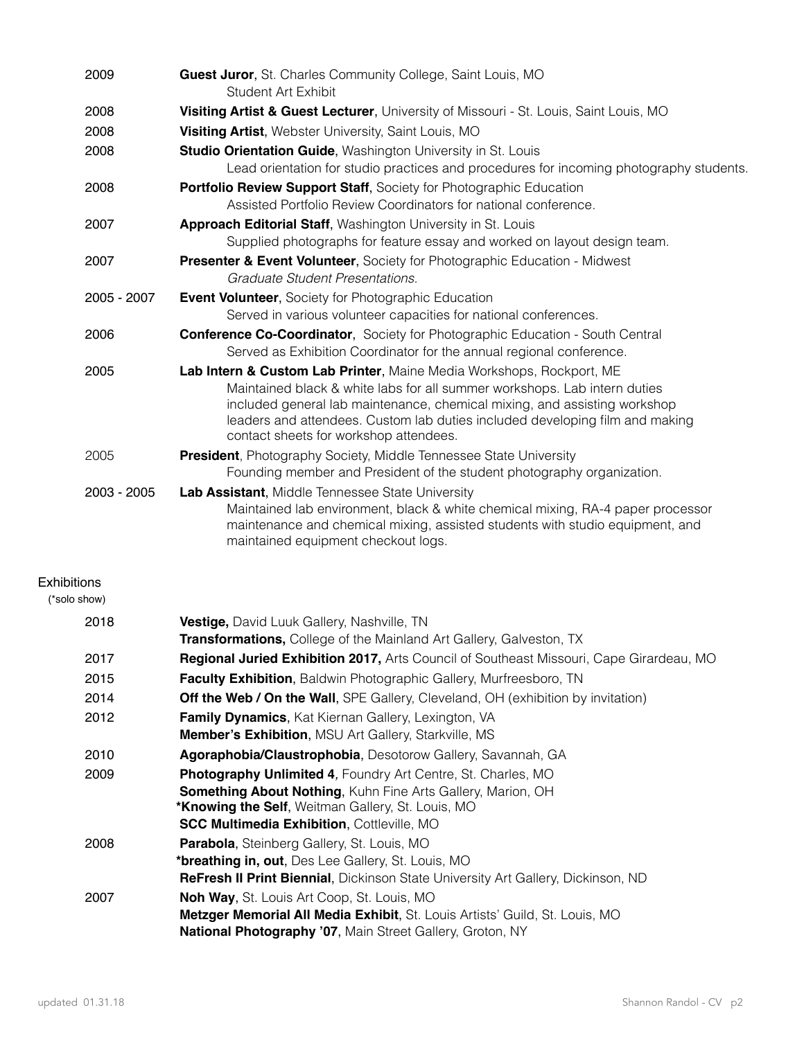| 2009        | <b>Guest Juror, St. Charles Community College, Saint Louis, MO</b><br>Student Art Exhibit                                                                                                                                                                                                                                                                |
|-------------|----------------------------------------------------------------------------------------------------------------------------------------------------------------------------------------------------------------------------------------------------------------------------------------------------------------------------------------------------------|
| 2008        | Visiting Artist & Guest Lecturer, University of Missouri - St. Louis, Saint Louis, MO                                                                                                                                                                                                                                                                    |
| 2008        | Visiting Artist, Webster University, Saint Louis, MO                                                                                                                                                                                                                                                                                                     |
| 2008        | <b>Studio Orientation Guide, Washington University in St. Louis</b><br>Lead orientation for studio practices and procedures for incoming photography students.                                                                                                                                                                                           |
| 2008        | <b>Portfolio Review Support Staff, Society for Photographic Education</b><br>Assisted Portfolio Review Coordinators for national conference.                                                                                                                                                                                                             |
| 2007        | Approach Editorial Staff, Washington University in St. Louis                                                                                                                                                                                                                                                                                             |
|             | Supplied photographs for feature essay and worked on layout design team.                                                                                                                                                                                                                                                                                 |
| 2007        | <b>Presenter &amp; Event Volunteer, Society for Photographic Education - Midwest</b><br>Graduate Student Presentations.                                                                                                                                                                                                                                  |
| 2005 - 2007 | <b>Event Volunteer, Society for Photographic Education</b><br>Served in various volunteer capacities for national conferences.                                                                                                                                                                                                                           |
| 2006        | <b>Conference Co-Coordinator, Society for Photographic Education - South Central</b><br>Served as Exhibition Coordinator for the annual regional conference.                                                                                                                                                                                             |
| 2005        | Lab Intern & Custom Lab Printer, Maine Media Workshops, Rockport, ME<br>Maintained black & white labs for all summer workshops. Lab intern duties<br>included general lab maintenance, chemical mixing, and assisting workshop<br>leaders and attendees. Custom lab duties included developing film and making<br>contact sheets for workshop attendees. |
| 2005        | <b>President</b> , Photography Society, Middle Tennessee State University<br>Founding member and President of the student photography organization.                                                                                                                                                                                                      |
| 2003 - 2005 | Lab Assistant, Middle Tennessee State University<br>Maintained lab environment, black & white chemical mixing, RA-4 paper processor<br>maintenance and chemical mixing, assisted students with studio equipment, and<br>maintained equipment checkout logs.                                                                                              |

## Exhibitions

(\*solo show)

| 2018 | <b>Vestige, David Luuk Gallery, Nashville, TN</b>                                              |
|------|------------------------------------------------------------------------------------------------|
|      | <b>Transformations, College of the Mainland Art Gallery, Galveston, TX</b>                     |
| 2017 | <b>Regional Juried Exhibition 2017, Arts Council of Southeast Missouri, Cape Girardeau, MO</b> |
| 2015 | Faculty Exhibition, Baldwin Photographic Gallery, Murfreesboro, TN                             |
| 2014 | <b>Off the Web / On the Wall, SPE Gallery, Cleveland, OH (exhibition by invitation)</b>        |
| 2012 | <b>Family Dynamics, Kat Kiernan Gallery, Lexington, VA</b>                                     |
|      | <b>Member's Exhibition, MSU Art Gallery, Starkville, MS</b>                                    |
| 2010 | Agoraphobia/Claustrophobia, Desotorow Gallery, Savannah, GA                                    |
| 2009 | <b>Photography Unlimited 4, Foundry Art Centre, St. Charles, MO</b>                            |
|      | <b>Something About Nothing, Kuhn Fine Arts Gallery, Marion, OH</b>                             |
|      | <b>*Knowing the Self, Weitman Gallery, St. Louis, MO</b>                                       |
|      | <b>SCC Multimedia Exhibition, Cottleville, MO</b>                                              |
| 2008 | <b>Parabola, Steinberg Gallery, St. Louis, MO</b>                                              |
|      | *breathing in, out, Des Lee Gallery, St. Louis, MO                                             |
|      | <b>ReFresh II Print Biennial, Dickinson State University Art Gallery, Dickinson, ND</b>        |
| 2007 | Noh Way, St. Louis Art Coop, St. Louis, MO                                                     |
|      | Metzger Memorial All Media Exhibit, St. Louis Artists' Guild, St. Louis, MO                    |
|      | National Photography '07, Main Street Gallery, Groton, NY                                      |
|      |                                                                                                |